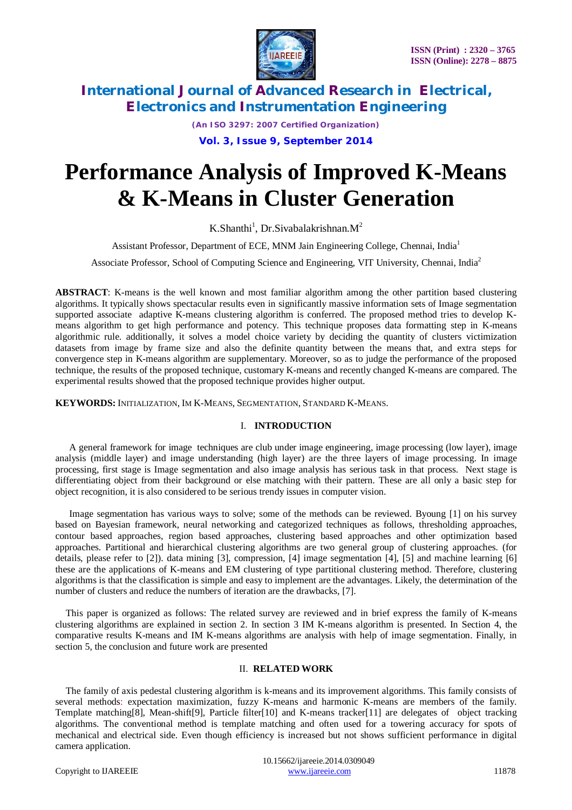

*(An ISO 3297: 2007 Certified Organization)* **Vol. 3, Issue 9, September 2014**

# **Performance Analysis of Improved K-Means & K-Means in Cluster Generation**

K.Shanthi<sup>1</sup>, Dr.Sivabalakrishnan.M<sup>2</sup>

Assistant Professor, Department of ECE, MNM Jain Engineering College, Chennai, India<sup>1</sup>

Associate Professor, School of Computing Science and Engineering, VIT University, Chennai, India<sup>2</sup>

**ABSTRACT**: K-means is the well known and most familiar algorithm among the other partition based clustering algorithms. It typically shows spectacular results even in significantly massive information sets of Image segmentation supported associate adaptive K-means clustering algorithm is conferred. The proposed method tries to develop Kmeans algorithm to get high performance and potency. This technique proposes data formatting step in K-means algorithmic rule. additionally, it solves a model choice variety by deciding the quantity of clusters victimization datasets from image by frame size and also the definite quantity between the means that, and extra steps for convergence step in K-means algorithm are supplementary. Moreover, so as to judge the performance of the proposed technique, the results of the proposed technique, customary K-means and recently changed K-means are compared. The experimental results showed that the proposed technique provides higher output.

**KEYWORDS:** INITIALIZATION, IM K-MEANS, SEGMENTATION, STANDARD K-MEANS.

#### I. **INTRODUCTION**

A general framework for image techniques are club under image engineering, image processing (low layer), image analysis (middle layer) and image understanding (high layer) are the three layers of image processing. In image processing, first stage is Image segmentation and also image analysis has serious task in that process. Next stage is differentiating object from their background or else matching with their pattern. These are all only a basic step for object recognition, it is also considered to be serious trendy issues in computer vision.

Image segmentation has various ways to solve; some of the methods can be reviewed. Byoung [1] on his survey based on Bayesian framework, neural networking and categorized techniques as follows, thresholding approaches, contour based approaches, region based approaches, clustering based approaches and other optimization based approaches. Partitional and hierarchical clustering algorithms are two general group of clustering approaches. (for details, please refer to [2]). data mining [3], compression, [4] image segmentation [4], [5] and machine learning [6] these are the applications of K-means and EM clustering of type partitional clustering method. Therefore, clustering algorithms is that the classification is simple and easy to implement are the advantages. Likely, the determination of the number of clusters and reduce the numbers of iteration are the drawbacks, [7].

This paper is organized as follows: The related survey are reviewed and in brief express the family of K-means clustering algorithms are explained in section 2. In section 3 IM K-means algorithm is presented. In Section 4, the comparative results K-means and IM K-means algorithms are analysis with help of image segmentation. Finally, in section 5, the conclusion and future work are presented

#### II. **RELATED WORK**

The family of axis pedestal clustering algorithm is k-means and its improvement algorithms. This family consists of several methods: expectation maximization, fuzzy K-means and harmonic K-means are members of the family. Template matching[8], Mean-shift[9], Particle filter[10] and K-means tracker[11] are delegates of object tracking algorithms. The conventional method is template matching and often used for a towering accuracy for spots of mechanical and electrical side. Even though efficiency is increased but not shows sufficient performance in digital camera application.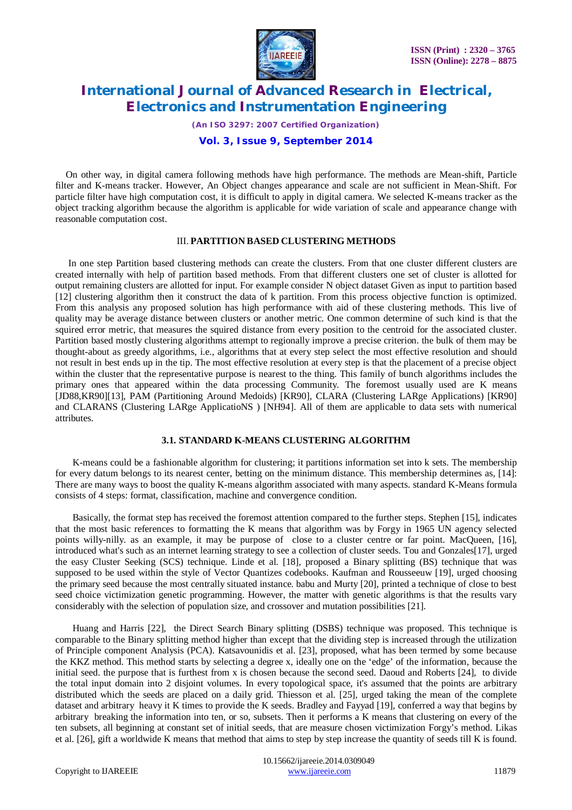

*(An ISO 3297: 2007 Certified Organization)*

#### **Vol. 3, Issue 9, September 2014**

On other way, in digital camera following methods have high performance. The methods are Mean-shift, Particle filter and K-means tracker. However, An Object changes appearance and scale are not sufficient in Mean-Shift. For particle filter have high computation cost, it is difficult to apply in digital camera. We selected K-means tracker as the object tracking algorithm because the algorithm is applicable for wide variation of scale and appearance change with reasonable computation cost.

#### III. **PARTITION BASED CLUSTERING METHODS**

In one step Partition based clustering methods can create the clusters. From that one cluster different clusters are created internally with help of partition based methods. From that different clusters one set of cluster is allotted for output remaining clusters are allotted for input. For example consider N object dataset Given as input to partition based [12] clustering algorithm then it construct the data of k partition. From this process objective function is optimized. From this analysis any proposed solution has high performance with aid of these clustering methods. This live of quality may be average distance between clusters or another metric. One common determine of such kind is that the squired error metric, that measures the squired distance from every position to the centroid for the associated cluster. Partition based mostly clustering algorithms attempt to regionally improve a precise criterion. the bulk of them may be thought-about as greedy algorithms, i.e., algorithms that at every step select the most effective resolution and should not result in best ends up in the tip. The most effective resolution at every step is that the placement of a precise object within the cluster that the representative purpose is nearest to the thing. This family of bunch algorithms includes the primary ones that appeared within the data processing Community. The foremost usually used are K means [JD88,KR90][13], PAM (Partitioning Around Medoids) [KR90], CLARA (Clustering LARge Applications) [KR90] and CLARANS (Clustering LARge ApplicatioNS ) [NH94]. All of them are applicable to data sets with numerical attributes.

#### **3.1. STANDARD K-MEANS CLUSTERING ALGORITHM**

K-means could be a fashionable algorithm for clustering; it partitions information set into k sets. The membership for every datum belongs to its nearest center, betting on the minimum distance. This membership determines as, [14]: There are many ways to boost the quality K-means algorithm associated with many aspects. standard K-Means formula consists of 4 steps: format, classification, machine and convergence condition.

Basically, the format step has received the foremost attention compared to the further steps. Stephen [15], indicates that the most basic references to formatting the K means that algorithm was by Forgy in 1965 UN agency selected points willy-nilly. as an example, it may be purpose of close to a cluster centre or far point. MacQueen, [16], introduced what's such as an internet learning strategy to see a collection of cluster seeds. Tou and Gonzales[17], urged the easy Cluster Seeking (SCS) technique. Linde et al. [18], proposed a Binary splitting (BS) technique that was supposed to be used within the style of Vector Quantizes codebooks. Kaufman and Rousseeuw [19], urged choosing the primary seed because the most centrally situated instance. babu and Murty [20], printed a technique of close to best seed choice victimization genetic programming. However, the matter with genetic algorithms is that the results vary considerably with the selection of population size, and crossover and mutation possibilities [21].

Huang and Harris [22], the Direct Search Binary splitting (DSBS) technique was proposed. This technique is comparable to the Binary splitting method higher than except that the dividing step is increased through the utilization of Principle component Analysis (PCA). Katsavounidis et al. [23], proposed, what has been termed by some because the KKZ method. This method starts by selecting a degree x, ideally one on the 'edge' of the information, because the initial seed. the purpose that is furthest from x is chosen because the second seed. Daoud and Roberts [24], to divide the total input domain into 2 disjoint volumes. In every topological space, it's assumed that the points are arbitrary distributed which the seeds are placed on a daily grid. Thiesson et al. [25], urged taking the mean of the complete dataset and arbitrary heavy it K times to provide the K seeds. Bradley and Fayyad [19], conferred a way that begins by arbitrary breaking the information into ten, or so, subsets. Then it performs a K means that clustering on every of the ten subsets, all beginning at constant set of initial seeds, that are measure chosen victimization Forgy's method. Likas et al. [26], gift a worldwide K means that method that aims to step by step increase the quantity of seeds till K is found.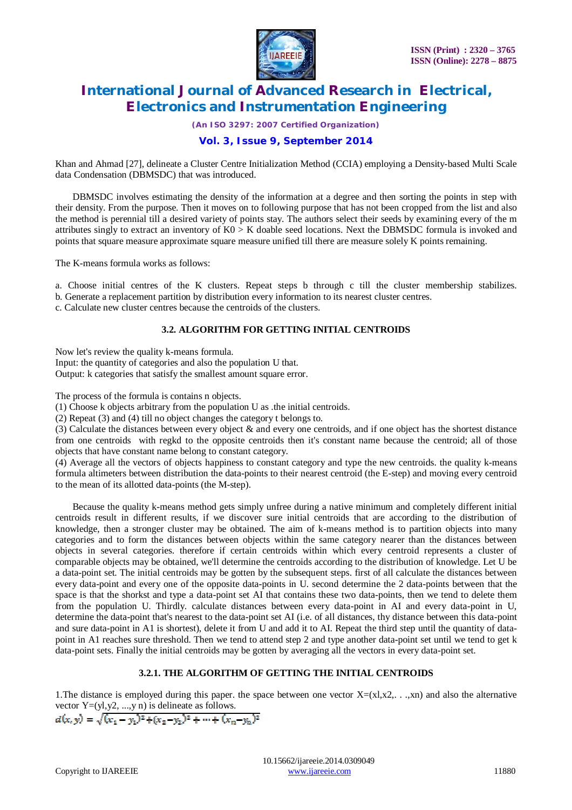

*(An ISO 3297: 2007 Certified Organization)*

### **Vol. 3, Issue 9, September 2014**

Khan and Ahmad [27], delineate a Cluster Centre Initialization Method (CCIA) employing a Density-based Multi Scale data Condensation (DBMSDC) that was introduced.

DBMSDC involves estimating the density of the information at a degree and then sorting the points in step with their density. From the purpose. Then it moves on to following purpose that has not been cropped from the list and also the method is perennial till a desired variety of points stay. The authors select their seeds by examining every of the m attributes singly to extract an inventory of  $K0 > K$  doable seed locations. Next the DBMSDC formula is invoked and points that square measure approximate square measure unified till there are measure solely K points remaining.

The K-means formula works as follows:

a. Choose initial centres of the K clusters. Repeat steps b through c till the cluster membership stabilizes.

b. Generate a replacement partition by distribution every information to its nearest cluster centres.

c. Calculate new cluster centres because the centroids of the clusters.

#### **3.2. ALGORITHM FOR GETTING INITIAL CENTROIDS**

Now let's review the quality k-means formula.

Input: the quantity of categories and also the population U that.

Output: k categories that satisfy the smallest amount square error.

The process of the formula is contains n objects.

(1) Choose k objects arbitrary from the population U as .the initial centroids.

(2) Repeat (3) and (4) till no object changes the category t belongs to.

(3) Calculate the distances between every object & and every one centroids, and if one object has the shortest distance from one centroids with regkd to the opposite centroids then it's constant name because the centroid; all of those objects that have constant name belong to constant category.

(4) Average all the vectors of objects happiness to constant category and type the new centroids. the quality k-means formula altimeters between distribution the data-points to their nearest centroid (the E-step) and moving every centroid to the mean of its allotted data-points (the M-step).

Because the quality k-means method gets simply unfree during a native minimum and completely different initial centroids result in different results, if we discover sure initial centroids that are according to the distribution of knowledge, then a stronger cluster may be obtained. The aim of k-means method is to partition objects into many categories and to form the distances between objects within the same category nearer than the distances between objects in several categories. therefore if certain centroids within which every centroid represents a cluster of comparable objects may be obtained, we'll determine the centroids according to the distribution of knowledge. Let U be a data-point set. The initial centroids may be gotten by the subsequent steps. first of all calculate the distances between every data-point and every one of the opposite data-points in U. second determine the 2 data-points between that the space is that the shorkst and type a data-point set AI that contains these two data-points, then we tend to delete them from the population U. Thirdly. calculate distances between every data-point in AI and every data-point in U, determine the data-point that's nearest to the data-point set AI (i.e. of all distances, thy distance between this data-point and sure data-point in A1 is shortest), delete it from U and add it to AI. Repeat the third step until the quantity of datapoint in A1 reaches sure threshold. Then we tend to attend step 2 and type another data-point set until we tend to get k data-point sets. Finally the initial centroids may be gotten by averaging all the vectors in every data-point set.

### **3.2.1. THE ALGORITHM OF GETTING THE INITIAL CENTROIDS**

1. The distance is employed during this paper. the space between one vector  $X=(x_1,x_2,...,x_n)$  and also the alternative vector  $Y=(y_1,y_2, ..., y_n)$  is delineate as follows.

$$
a(x,y)=\sqrt{(x_1-y_1)^2+(x_2-y_2)^2+\cdots+(x_n-y_n)^2}
$$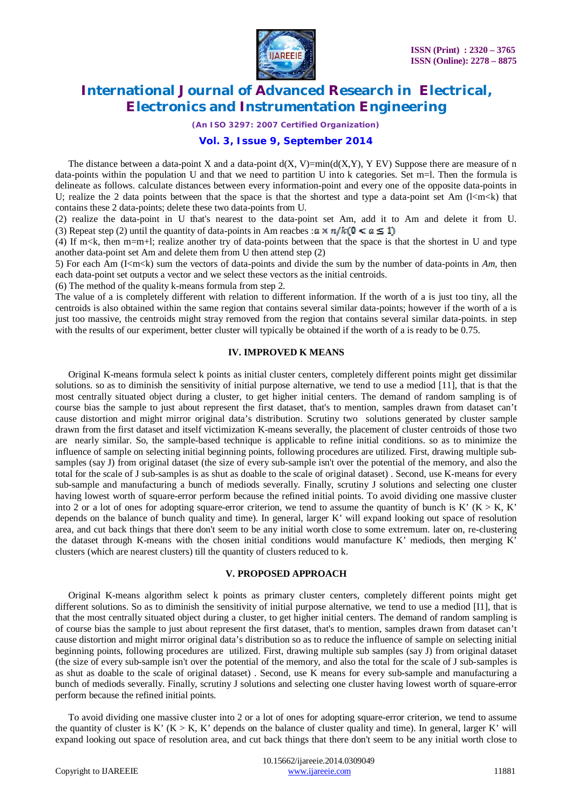

*(An ISO 3297: 2007 Certified Organization)*

#### **Vol. 3, Issue 9, September 2014**

The distance between a data-point X and a data-point  $d(X, V)=min(d(X, Y), YEV)$  Suppose there are measure of n data-points within the population U and that we need to partition U into k categories. Set m=l. Then the formula is delineate as follows. calculate distances between every information-point and every one of the opposite data-points in U; realize the 2 data points between that the space is that the shortest and type a data-point set Am ( $\leq m \leq k$ ) that contains these 2 data-points; delete these two data-points from U.

(2) realize the data-point in U that's nearest to the data-point set Am, add it to Am and delete it from U. (3) Repeat step (2) until the quantity of data-points in Am reacbes :  $a \times n/k(0 \le a \le 1)$ 

(4) If m $\lt k$ , then m=m+l; realize another try of data-points between that the space is that the shortest in U and type another data-point set Am and delete them from U then attend step (2)

5) For each Am (I<m<k) sum the vectors of data-points and divide the sum by the number of data-points in *Am,* then each data-point set outputs a vector and we select these vectors as the initial centroids.

(6) The method of the quality k-means formula from step 2.

The value of a is completely different with relation to different information. If the worth of a is just too tiny, all the centroids is also obtained within the same region that contains several similar data-points; however if the worth of a is just too massive, the centroids might stray removed from the region that contains several similar data-points. in step with the results of our experiment, better cluster will typically be obtained if the worth of a is ready to be 0.75.

#### **IV. IMPROVED K MEANS**

Original K-means formula select k points as initial cluster centers, completely different points might get dissimilar solutions. so as to diminish the sensitivity of initial purpose alternative, we tend to use a mediod [11], that is that the most centrally situated object during a cluster, to get higher initial centers. The demand of random sampling is of course bias the sample to just about represent the first dataset, that's to mention, samples drawn from dataset can't cause distortion and might mirror original data's distribution. Scrutiny two solutions generated by cluster sample drawn from the first dataset and itself victimization K-means severally, the placement of cluster centroids of those two are nearly similar. So, the sample-based technique is applicable to refine initial conditions. so as to minimize the influence of sample on selecting initial beginning points, following procedures are utilized. First, drawing multiple subsamples (say J) from original dataset (the size of every sub-sample isn't over the potential of the memory, and also the total for the scale of J sub-samples is as shut as doable to the scale of original dataset) . Second, use K-means for every sub-sample and manufacturing a bunch of mediods severally. Finally, scrutiny J solutions and selecting one cluster having lowest worth of square-error perform because the refined initial points. To avoid dividing one massive cluster into 2 or a lot of ones for adopting square-error criterion, we tend to assume the quantity of bunch is K' ( $K > K$ , K' depends on the balance of bunch quality and time). In general, larger K' will expand looking out space of resolution area, and cut back things that there don't seem to be any initial worth close to some extremum. later on, re-clustering the dataset through K-means with the chosen initial conditions would manufacture K' mediods, then merging K' clusters (which are nearest clusters) till the quantity of clusters reduced to k.

#### **V. PROPOSED APPROACH**

Original K-means algorithm select k points as primary cluster centers, completely different points might get different solutions. So as to diminish the sensitivity of initial purpose alternative, we tend to use a mediod [I1], that is that the most centrally situated object during a cluster, to get higher initial centers. The demand of random sampling is of course bias the sample to just about represent the first dataset, that's to mention, samples drawn from dataset can't cause distortion and might mirror original data's distribution so as to reduce the influence of sample on selecting initial beginning points, following procedures are utilized. First, drawing multiple sub samples (say J) from original dataset (the size of every sub-sample isn't over the potential of the memory, and also the total for the scale of J sub-samples is as shut as doable to the scale of original dataset) . Second, use K means for every sub-sample and manufacturing a bunch of mediods severally. Finally, scrutiny J solutions and selecting one cluster having lowest worth of square-error perform because the refined initial points.

To avoid dividing one massive cluster into 2 or a lot of ones for adopting square-error criterion, we tend to assume the quantity of cluster is K'  $(K > K, K'$  depends on the balance of cluster quality and time). In general, larger K' will expand looking out space of resolution area, and cut back things that there don't seem to be any initial worth close to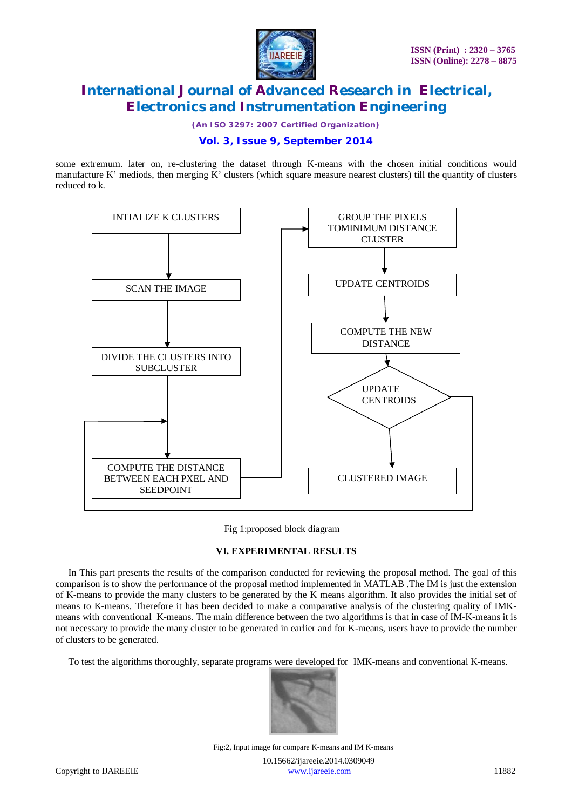

*(An ISO 3297: 2007 Certified Organization)*

### **Vol. 3, Issue 9, September 2014**

some extremum. later on, re-clustering the dataset through K-means with the chosen initial conditions would manufacture K' mediods, then merging K' clusters (which square measure nearest clusters) till the quantity of clusters reduced to k.



Fig 1:proposed block diagram

### **VI. EXPERIMENTAL RESULTS**

In This part presents the results of the comparison conducted for reviewing the proposal method. The goal of this comparison is to show the performance of the proposal method implemented in MATLAB .The IM is just the extension of K-means to provide the many clusters to be generated by the K means algorithm. It also provides the initial set of means to K-means. Therefore it has been decided to make a comparative analysis of the clustering quality of IMKmeans with conventional K-means. The main difference between the two algorithms is that in case of IM-K-means it is not necessary to provide the many cluster to be generated in earlier and for K-means, users have to provide the number of clusters to be generated.

To test the algorithms thoroughly, separate programs were developed for IMK-means and conventional K-means.



 10.15662/ijareeie.2014.0309049 Copyright to IJAREEIE www.ijareeie.com 11882 Fig:2, Input image for compare K-means and IM K-means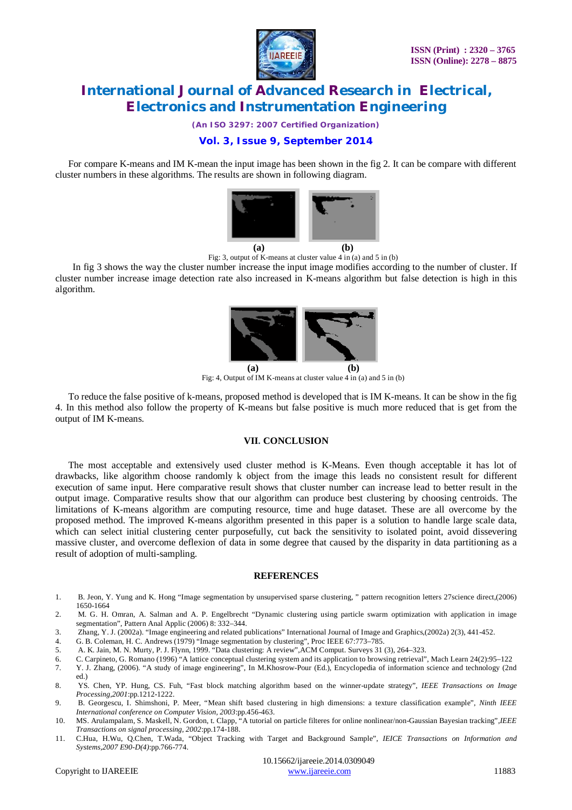

*(An ISO 3297: 2007 Certified Organization)*

### **Vol. 3, Issue 9, September 2014**

For compare K-means and IM K-mean the input image has been shown in the fig 2. It can be compare with different cluster numbers in these algorithms. The results are shown in following diagram.



Fig: 3, output of K-means at cluster value 4 in (a) and 5 in (b)

In fig 3 shows the way the cluster number increase the input image modifies according to the number of cluster. If cluster number increase image detection rate also increased in K-means algorithm but false detection is high in this algorithm.



Fig: 4, Output of IM K-means at cluster value 4 in (a) and 5 in (b)

To reduce the false positive of k-means, proposed method is developed that is IM K-means. It can be show in the fig 4. In this method also follow the property of K-means but false positive is much more reduced that is get from the output of IM K-means.

#### **VII. CONCLUSION**

The most acceptable and extensively used cluster method is K-Means. Even though acceptable it has lot of drawbacks, like algorithm choose randomly k object from the image this leads no consistent result for different execution of same input. Here comparative result shows that cluster number can increase lead to better result in the output image. Comparative results show that our algorithm can produce best clustering by choosing centroids. The limitations of K-means algorithm are computing resource, time and huge dataset. These are all overcome by the proposed method. The improved K-means algorithm presented in this paper is a solution to handle large scale data, which can select initial clustering center purposefully, cut back the sensitivity to isolated point, avoid dissevering massive cluster, and overcome deflexion of data in some degree that caused by the disparity in data partitioning as a result of adoption of multi-sampling.

#### **REFERENCES**

- 1. B. Jeon, Y. Yung and K. Hong "Image segmentation by unsupervised sparse clustering, " pattern recognition letters 27science direct,(2006) 1650-1664
- 2. M. G. H. Omran, A. Salman and A. P. Engelbrecht "Dynamic clustering using particle swarm optimization with application in image segmentation", Pattern Anal Applic (2006) 8: 332–344.
- 3. Zhang, Y. J. (2002a). "Image engineering and related publications" International Journal of Image and Graphics,(2002a) 2(3), 441-452.
- 4. G. B. Coleman, H. C. Andrews (1979) "Image segmentation by clustering", Proc IEEE 67:773–785.
- 5. A. K. Jain, M. N. Murty, P. J. Flynn, 1999. "Data clustering: A review",ACM Comput. Surveys 31 (3), 264–323.
- 6. C. Carpineto, G. Romano (1996) "A lattice conceptual clustering system and its application to browsing retrieval", Mach Learn 24(2):95–122
- 7. Y. J. Zhang, (2006). "A study of image engineering", In M.Khosrow-Pour (Ed.), Encyclopedia of information science and technology (2nd ed.)
- 8. YS. Chen, YP. Hung, CS. Fuh, "Fast block matching algorithm based on the winner-update strategy", *IEEE Transactions on Image Processing,2001*:pp.1212-1222.
- 9. B. Georgescu, I. Shimshoni, P. Meer, "Mean shift based clustering in high dimensions: a texture classification example", *Ninth IEEE International conference on Computer Vision, 2003*:pp.456-463.
- 10. MS. Arulampalam, S. Maskell, N. Gordon, t. Clapp, "A tutorial on particle filteres for online nonlinear/non-Gaussian Bayesian tracking",*IEEE Transactions on signal processing, 2002*:pp.174-188.
- 11. C.Hua, H.Wu, Q.Chen, T.Wada, "Object Tracking with Target and Background Sample", *IEICE Transactions on Information and Systems,2007 E90-D(4)*:pp.766-774.